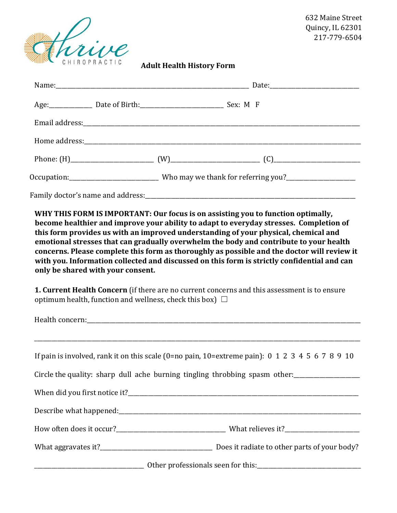

 632 Maine Street Quincy, IL 62301 217-779-6504

**Adult Health History Form** 

| Age: ________________ Date of Birth: ___________________________________ Sex: M F                  |                                                                                                                                                                                                                                                                                                                                                                                                                                                                                                                                                                                                                                                           |
|----------------------------------------------------------------------------------------------------|-----------------------------------------------------------------------------------------------------------------------------------------------------------------------------------------------------------------------------------------------------------------------------------------------------------------------------------------------------------------------------------------------------------------------------------------------------------------------------------------------------------------------------------------------------------------------------------------------------------------------------------------------------------|
|                                                                                                    |                                                                                                                                                                                                                                                                                                                                                                                                                                                                                                                                                                                                                                                           |
|                                                                                                    |                                                                                                                                                                                                                                                                                                                                                                                                                                                                                                                                                                                                                                                           |
|                                                                                                    |                                                                                                                                                                                                                                                                                                                                                                                                                                                                                                                                                                                                                                                           |
|                                                                                                    | Occupation:________________________________Who may we thank for referring you?_____________________                                                                                                                                                                                                                                                                                                                                                                                                                                                                                                                                                       |
|                                                                                                    |                                                                                                                                                                                                                                                                                                                                                                                                                                                                                                                                                                                                                                                           |
| only be shared with your consent.<br>optimum health, function and wellness, check this box) $\Box$ | WHY THIS FORM IS IMPORTANT: Our focus is on assisting you to function optimally,<br>become healthier and improve your ability to adapt to everyday stresses. Completion of<br>this form provides us with an improved understanding of your physical, chemical and<br>emotional stresses that can gradually overwhelm the body and contribute to your health<br>concerns. Please complete this form as thoroughly as possible and the doctor will review it<br>with you. Information collected and discussed on this form is strictly confidential and can<br>1. Current Health Concern (if there are no current concerns and this assessment is to ensure |
|                                                                                                    |                                                                                                                                                                                                                                                                                                                                                                                                                                                                                                                                                                                                                                                           |
|                                                                                                    |                                                                                                                                                                                                                                                                                                                                                                                                                                                                                                                                                                                                                                                           |
|                                                                                                    | If pain is involved, rank it on this scale (0=no pain, 10=extreme pain): $0\ 1\ 2\ 3\ 4\ 5\ 6\ 7\ 8\ 9\ 10$                                                                                                                                                                                                                                                                                                                                                                                                                                                                                                                                               |
|                                                                                                    | Circle the quality: sharp dull ache burning tingling throbbing spasm other:                                                                                                                                                                                                                                                                                                                                                                                                                                                                                                                                                                               |
|                                                                                                    |                                                                                                                                                                                                                                                                                                                                                                                                                                                                                                                                                                                                                                                           |
|                                                                                                    |                                                                                                                                                                                                                                                                                                                                                                                                                                                                                                                                                                                                                                                           |
|                                                                                                    |                                                                                                                                                                                                                                                                                                                                                                                                                                                                                                                                                                                                                                                           |
|                                                                                                    |                                                                                                                                                                                                                                                                                                                                                                                                                                                                                                                                                                                                                                                           |
|                                                                                                    |                                                                                                                                                                                                                                                                                                                                                                                                                                                                                                                                                                                                                                                           |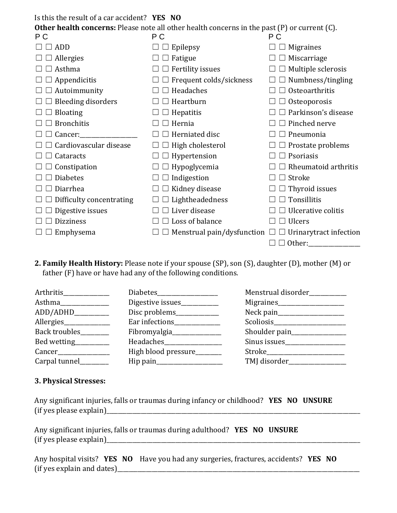Is this the result of a car accident? **YES NO** 

**Other health concerns:** Please note all other health concerns in the past (P) or current (C).

| P C                       | $\frac{1}{2}$ reason to the state of the context is the past $\left(\frac{1}{2}\right)$ of earlier $\left(\frac{1}{2}\right)$<br>P C | P C                           |
|---------------------------|--------------------------------------------------------------------------------------------------------------------------------------|-------------------------------|
| <b>ADD</b>                | Epilepsy                                                                                                                             | <b>Migraines</b>              |
| Allergies                 | Fatigue                                                                                                                              | Miscarriage                   |
| Asthma                    | $\Box$ Fertility issues                                                                                                              | Multiple sclerosis            |
| Appendicitis              | $\Box$ Frequent colds/sickness                                                                                                       | Numbness/tingling             |
| Autoimmunity              | Headaches                                                                                                                            | Osteoarthritis                |
| <b>Bleeding disorders</b> | Heartburn                                                                                                                            | Osteoporosis                  |
| <b>Bloating</b>           | Hepatitis                                                                                                                            | Parkinson's disease           |
| <b>Bronchitis</b>         | Hernia                                                                                                                               | Pinched nerve                 |
| Cancer:                   | Herniated disc                                                                                                                       | Pneumonia                     |
| Cardiovascular disease    | High cholesterol                                                                                                                     | $\Box$ Prostate problems      |
| Cataracts                 | $\Box$ Hypertension                                                                                                                  | $\Box$ Psoriasis              |
| $\Box$ Constipation       | $\Box$ Hypoglycemia                                                                                                                  | Rheumatoid arthritis          |
| <b>Diabetes</b>           | $\Box$ Indigestion                                                                                                                   | Stroke                        |
| Diarrhea                  | Kidney disease                                                                                                                       | Thyroid issues                |
| Difficulty concentrating  | Lightheadedness                                                                                                                      | Tonsillitis                   |
| Digestive issues          | Liver disease                                                                                                                        | Ulcerative colitis            |
| <b>Dizziness</b>          | Loss of balance                                                                                                                      | <b>Ulcers</b>                 |
| Emphysema                 | Menstrual pain/dysfunction $\Box$                                                                                                    | $\Box$ Urinarytract infection |
|                           |                                                                                                                                      | $\Box$ Other:                 |

**2. Family Health History:** Please note if your spouse (SP), son (S), daughter (D), mother (M) or father (F) have or have had any of the following conditions.

| Arthritis_______________ |                                                                                     | Menstrual disorder__________        |
|--------------------------|-------------------------------------------------------------------------------------|-------------------------------------|
| Asthma                   | Digestive issues____________                                                        | Migraines____________________       |
| ADD/ADHD__________       | Disc problems______________                                                         |                                     |
| Allergies                |                                                                                     |                                     |
| Back troubles            | Fibromyalgia                                                                        | Shoulder pain____________           |
| Bed wetting__________    | Headaches <b>Manual</b>                                                             | Sinus issues<br><u>Sinus</u> issues |
|                          | High blood pressure_______                                                          | Stroke                              |
| Carpal tunnel            | $\text{Hip pain}\_\_\_\_\_\_\_\_\_\_\_\_\_\_\_\_\_\_\_\_\_\_\_\_\_\_\_\_\_\_\_\_\_$ | TMJ disorder____________            |

## **3. Physical Stresses:**

| Any significant injuries, falls or traumas during infancy or childhood? YES NO UNSURE |  |  |
|---------------------------------------------------------------------------------------|--|--|
| (if yes please explain)                                                               |  |  |

Any significant injuries, falls or traumas during adulthood? **YES NO UNSURE**  $(f \text{ is please explain})$ 

Any hospital visits? **YES NO** Have you had any surgeries, fractures, accidents? **YES NO** (if yes explain and dates)\_\_\_\_\_\_\_\_\_\_\_\_\_\_\_\_\_\_\_\_\_\_\_\_\_\_\_\_\_\_\_\_\_\_\_\_\_\_\_\_\_\_\_\_\_\_\_\_\_\_\_\_\_\_\_\_\_\_\_\_\_\_\_\_\_\_\_\_\_\_\_\_\_\_\_\_\_\_\_\_\_\_\_\_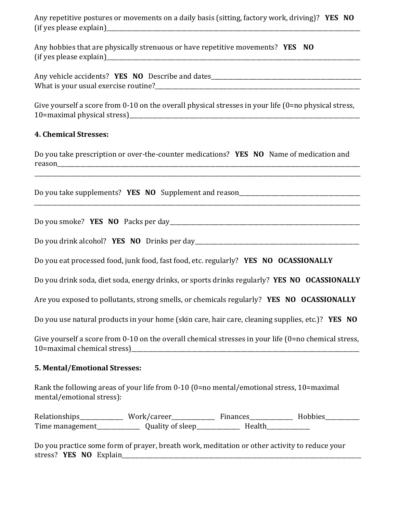Any repetitive postures or movements on a daily basis (sitting, factory work, driving)? **YES NO**   $(i)$  fif yes please explain)

Any hobbies that are physically strenuous or have repetitive movements? **YES NO**  $(if yes please explain)$ 

Any vehicle accidents? **YES NO** Describe and dates What is your usual exercise routine?

Give yourself a score from 0-10 on the overall physical stresses in your life (0=no physical stress, 10=maximal physical stress)

## **4. Chemical Stresses:**

Do you take prescription or over-the-counter medications? **YES NO** Name of medication and reason

\_\_\_\_\_\_\_\_\_\_\_\_\_\_\_\_\_\_\_\_\_\_\_\_\_\_\_\_\_\_\_\_\_\_\_\_\_\_\_\_\_\_\_\_\_\_\_\_\_\_\_\_\_\_\_\_\_\_\_\_\_\_\_\_\_\_\_\_\_\_\_\_\_\_\_\_\_\_\_\_\_\_\_\_\_\_\_\_\_\_\_\_\_\_\_\_\_\_\_\_\_\_\_\_\_\_\_\_\_\_\_\_\_

\_\_\_\_\_\_\_\_\_\_\_\_\_\_\_\_\_\_\_\_\_\_\_\_\_\_\_\_\_\_\_\_\_\_\_\_\_\_\_\_\_\_\_\_\_\_\_\_\_\_\_\_\_\_\_\_\_\_\_\_\_\_\_\_\_\_\_\_\_\_\_\_\_\_\_\_\_\_\_\_\_\_\_\_\_\_\_\_\_\_\_\_\_\_\_\_\_\_\_\_\_\_\_\_\_\_\_\_\_\_\_\_\_

Do you take supplements? **YES NO** Supplement and reason\_\_\_\_\_\_\_\_\_\_\_\_\_\_\_\_\_\_\_\_\_\_\_\_\_\_\_

Do you smoke? **YES NO** Packs per day\_\_\_\_\_\_\_\_\_\_\_\_\_\_\_\_\_\_\_\_\_\_\_\_\_\_\_\_\_\_\_\_\_\_\_\_\_\_\_\_\_\_\_\_\_\_\_\_\_\_\_\_\_\_\_\_\_\_\_\_\_\_\_\_\_\_

Do you drink alcohol? **YES NO** Drinks per day\_\_\_\_\_\_\_\_\_\_\_\_\_\_\_\_\_\_\_\_\_\_\_\_\_\_\_\_\_\_\_\_\_\_\_\_\_\_\_\_\_\_\_\_\_\_\_\_\_\_\_\_\_\_\_\_\_

Do you eat processed food, junk food, fast food, etc. regularly? **YES NO OCASSIONALLY**

Do you drink soda, diet soda, energy drinks, or sports drinks regularly? **YES NO OCASSIONALLY**

Are you exposed to pollutants, strong smells, or chemicals regularly? **YES NO OCASSIONALLY**

Do you use natural products in your home (skin care, hair care, cleaning supplies, etc.)? **YES NO**

Give yourself a score from 0-10 on the overall chemical stresses in your life (0=no chemical stress, 10=maximal chemical stress)\_\_\_\_\_\_\_\_\_\_\_\_\_\_\_\_\_\_\_\_\_\_\_\_\_\_\_\_\_\_\_\_\_\_\_\_\_\_\_\_\_\_\_\_\_\_\_\_\_\_\_\_\_\_\_\_\_\_\_\_\_\_\_\_\_\_\_\_\_\_\_\_\_\_\_\_\_\_\_

## **5. Mental/Emotional Stresses:**

Rank the following areas of your life from 0-10 (0=no mental/emotional stress, 10=maximal mental/emotional stress):

Relationships\_\_\_\_\_\_\_\_\_\_\_\_\_\_ Work/career\_\_\_\_\_\_\_\_\_\_\_\_\_\_\_ Finances\_\_\_\_\_\_\_\_\_\_\_\_\_\_\_\_ Hobbies\_\_\_\_\_\_\_\_\_\_\_ Time management\_\_\_\_\_\_\_\_\_\_\_\_\_\_\_ Quality of sleep\_\_\_\_\_\_\_\_\_\_\_\_\_\_\_ Health\_\_\_\_\_\_\_\_\_\_\_\_\_\_\_

Do you practice some form of prayer, breath work, meditation or other activity to reduce your stress? **YES NO** Explain